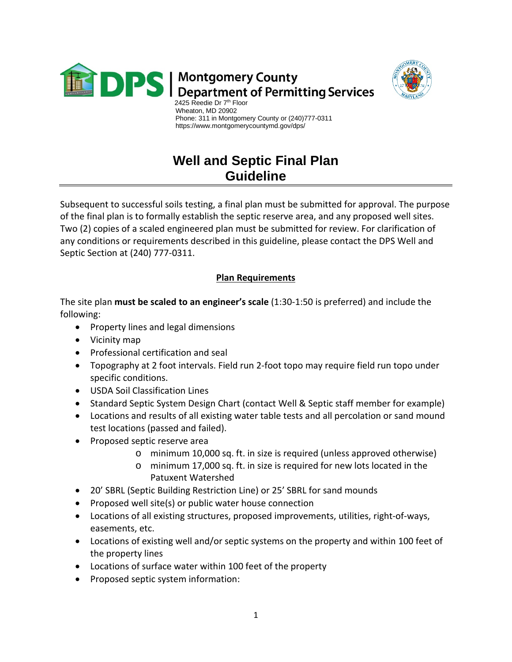

**DPS** | Montgomery County<br>DPS | Department of Permitting Services



 Wheaton, MD 20902 Phone: 311 in Montgomery County or (240)777-0311 https://www.montgomerycountymd.gov/dps/

## **Well and Septic Final Plan Guideline**

Subsequent to successful soils testing, a final plan must be submitted for approval. The purpose of the final plan is to formally establish the septic reserve area, and any proposed well sites. Two (2) copies of a scaled engineered plan must be submitted for review. For clarification of any conditions or requirements described in this guideline, please contact the DPS Well and Septic Section at (240) 777-0311.

## **Plan Requirements**

The site plan **must be scaled to an engineer's scale** (1:30-1:50 is preferred) and include the following:

- Property lines and legal dimensions
- Vicinity map
- Professional certification and seal
- Topography at 2 foot intervals. Field run 2-foot topo may require field run topo under specific conditions.
- USDA Soil Classification Lines
- Standard Septic System Design Chart (contact Well & Septic staff member for example)
- Locations and results of all existing water table tests and all percolation or sand mound test locations (passed and failed).
- Proposed septic reserve area
	- o minimum 10,000 sq. ft. in size is required (unless approved otherwise)
	- o minimum 17,000 sq. ft. in size is required for new lots located in the Patuxent Watershed
- 20' SBRL (Septic Building Restriction Line) or 25' SBRL for sand mounds
- Proposed well site(s) or public water house connection
- Locations of all existing structures, proposed improvements, utilities, right-of-ways, easements, etc.
- Locations of existing well and/or septic systems on the property and within 100 feet of the property lines
- Locations of surface water within 100 feet of the property
- Proposed septic system information: